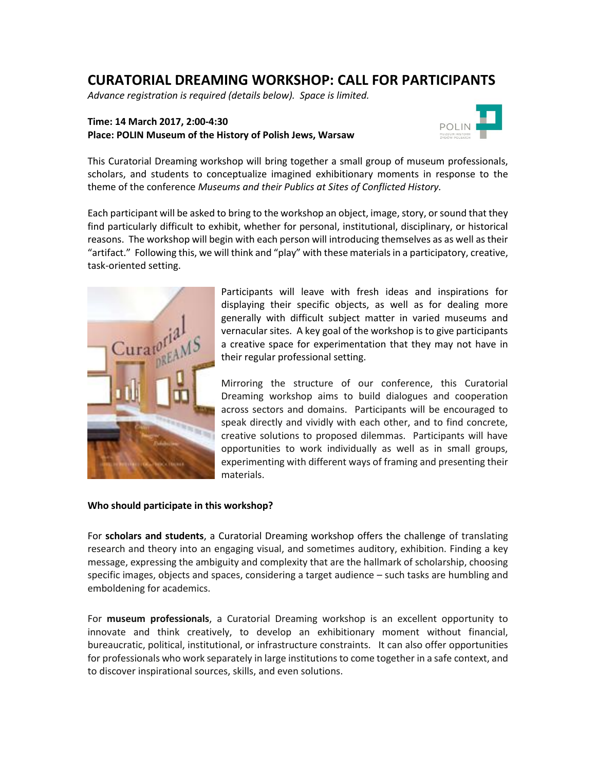# **CURATORIAL DREAMING WORKSHOP: CALL FOR PARTICIPANTS**

*Advance registration is required (details below). Space is limited.*

## **Time: 14 March 2017, 2:00-4:30 Place: POLIN Museum of the History of Polish Jews, Warsaw**



This Curatorial Dreaming workshop will bring together a small group of museum professionals, scholars, and students to conceptualize imagined exhibitionary moments in response to the theme of the conference *Museums and their Publics at Sites of Conflicted History.* 

Each participant will be asked to bring to the workshop an object, image, story, or sound that they find particularly difficult to exhibit, whether for personal, institutional, disciplinary, or historical reasons. The workshop will begin with each person will introducing themselves as as well as their "artifact." Following this, we will think and "play" with these materials in a participatory, creative, task-oriented setting.



Participants will leave with fresh ideas and inspirations for displaying their specific objects, as well as for dealing more generally with difficult subject matter in varied museums and vernacular sites. A key goal of the workshop is to give participants a creative space for experimentation that they may not have in their regular professional setting.

Mirroring the structure of our conference, this Curatorial Dreaming workshop aims to build dialogues and cooperation across sectors and domains. Participants will be encouraged to speak directly and vividly with each other, and to find concrete, creative solutions to proposed dilemmas. Participants will have opportunities to work individually as well as in small groups, experimenting with different ways of framing and presenting their materials.

### **Who should participate in this workshop?**

For **scholars and students**, a Curatorial Dreaming workshop offers the challenge of translating research and theory into an engaging visual, and sometimes auditory, exhibition. Finding a key message, expressing the ambiguity and complexity that are the hallmark of scholarship, choosing specific images, objects and spaces, considering a target audience – such tasks are humbling and emboldening for academics.

For **museum professionals**, a Curatorial Dreaming workshop is an excellent opportunity to innovate and think creatively, to develop an exhibitionary moment without financial, bureaucratic, political, institutional, or infrastructure constraints. It can also offer opportunities for professionals who work separately in large institutions to come together in a safe context, and to discover inspirational sources, skills, and even solutions.